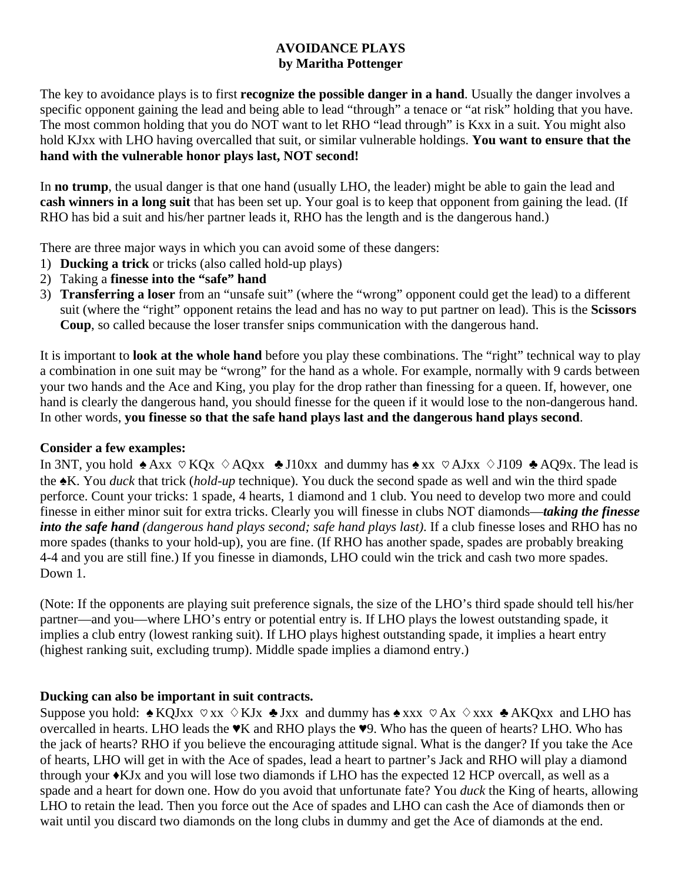## **AVOIDANCE PLAYS by Maritha Pottenger**

The key to avoidance plays is to first **recognize the possible danger in a hand**. Usually the danger involves a specific opponent gaining the lead and being able to lead "through" a tenace or "at risk" holding that you have. The most common holding that you do NOT want to let RHO "lead through" is Kxx in a suit. You might also hold KJxx with LHO having overcalled that suit, or similar vulnerable holdings. **You want to ensure that the hand with the vulnerable honor plays last, NOT second!** 

In **no trump**, the usual danger is that one hand (usually LHO, the leader) might be able to gain the lead and **cash winners in a long suit** that has been set up. Your goal is to keep that opponent from gaining the lead. (If RHO has bid a suit and his/her partner leads it, RHO has the length and is the dangerous hand.)

There are three major ways in which you can avoid some of these dangers:

- 1) **Ducking a trick** or tricks (also called hold-up plays)
- 2) Taking a **finesse into the "safe" hand**
- 3) **Transferring a loser** from an "unsafe suit" (where the "wrong" opponent could get the lead) to a different suit (where the "right" opponent retains the lead and has no way to put partner on lead). This is the **Scissors Coup**, so called because the loser transfer snips communication with the dangerous hand.

It is important to **look at the whole hand** before you play these combinations. The "right" technical way to play a combination in one suit may be "wrong" for the hand as a whole. For example, normally with 9 cards between your two hands and the Ace and King, you play for the drop rather than finessing for a queen. If, however, one hand is clearly the dangerous hand, you should finesse for the queen if it would lose to the non-dangerous hand. In other words, **you finesse so that the safe hand plays last and the dangerous hand plays second**.

## **Consider a few examples:**

In 3NT, you hold  $\triangle A$ xx  $\heartsuit$  KQx  $\diamond$  AQxx  $\triangle$  J10xx and dummy has  $\triangle A$ xx  $\heartsuit$  AJxx  $\diamond$  J109  $\triangle A$ Q9x. The lead is the ♠K. You *duck* that trick (*hold-up* technique). You duck the second spade as well and win the third spade perforce. Count your tricks: 1 spade, 4 hearts, 1 diamond and 1 club. You need to develop two more and could finesse in either minor suit for extra tricks. Clearly you will finesse in clubs NOT diamonds—*taking the finesse into the safe hand (dangerous hand plays second; safe hand plays last)*. If a club finesse loses and RHO has no more spades (thanks to your hold-up), you are fine. (If RHO has another spade, spades are probably breaking 4-4 and you are still fine.) If you finesse in diamonds, LHO could win the trick and cash two more spades. Down 1.

(Note: If the opponents are playing suit preference signals, the size of the LHO's third spade should tell his/her partner—and you—where LHO's entry or potential entry is. If LHO plays the lowest outstanding spade, it implies a club entry (lowest ranking suit). If LHO plays highest outstanding spade, it implies a heart entry (highest ranking suit, excluding trump). Middle spade implies a diamond entry.)

## **Ducking can also be important in suit contracts.**

Suppose you hold:  $\triangle KQJxx \heartsuit xx \triangle KJx \triangle Jxx$  and dummy has  $\triangle xxx \heartsuit Ax \triangle xxx \triangle AKQxx$  and LHO has overcalled in hearts. LHO leads the ♥K and RHO plays the ♥9. Who has the queen of hearts? LHO. Who has the jack of hearts? RHO if you believe the encouraging attitude signal. What is the danger? If you take the Ace of hearts, LHO will get in with the Ace of spades, lead a heart to partner's Jack and RHO will play a diamond through your ♦KJx and you will lose two diamonds if LHO has the expected 12 HCP overcall, as well as a spade and a heart for down one. How do you avoid that unfortunate fate? You *duck* the King of hearts, allowing LHO to retain the lead. Then you force out the Ace of spades and LHO can cash the Ace of diamonds then or wait until you discard two diamonds on the long clubs in dummy and get the Ace of diamonds at the end.